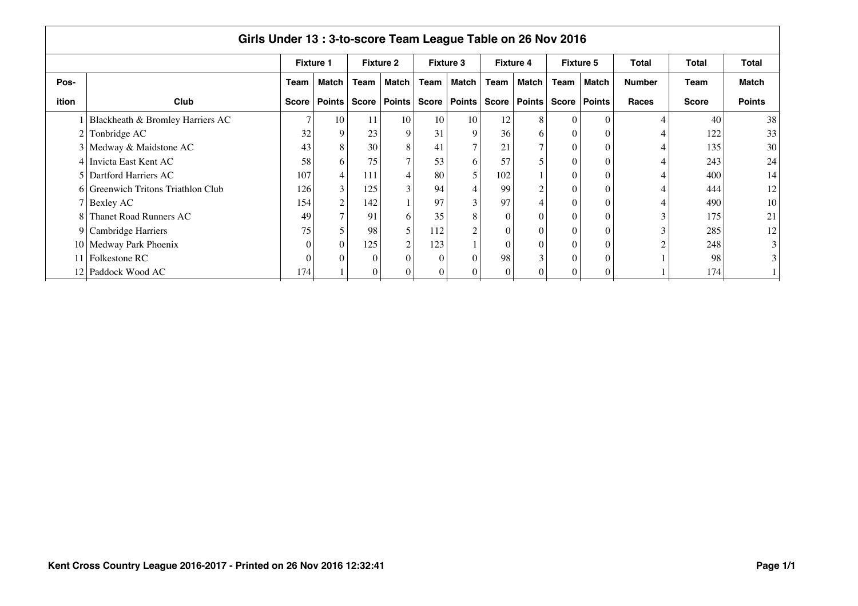|                | Girls Under 13: 3-to-score Team League Table on 26 Nov 2016 |                  |                  |                  |                |                  |                |          |                  |              |                  |               |              |               |  |
|----------------|-------------------------------------------------------------|------------------|------------------|------------------|----------------|------------------|----------------|----------|------------------|--------------|------------------|---------------|--------------|---------------|--|
|                |                                                             | <b>Fixture 1</b> |                  | <b>Fixture 2</b> |                | <b>Fixture 3</b> |                |          | <b>Fixture 4</b> |              | <b>Fixture 5</b> | Total         | <b>Total</b> | <b>Total</b>  |  |
| Pos-           |                                                             | Team             | <b>Match</b>     | Team             | Match          | Team             | <b>Match</b>   | Team     | Match            | Team         | <b>Match</b>     | <b>Number</b> | Team         | <b>Match</b>  |  |
| ition          | Club                                                        | <b>Score</b>     | <b>Points</b>    | <b>Score</b>     | <b>Points</b>  |                  | Score   Points |          | Score   Points   | <b>Score</b> | <b>Points</b>    | <b>Races</b>  | <b>Score</b> | <b>Points</b> |  |
|                | Blackheath & Bromley Harriers AC                            | $\overline{7}$   | 10               | 11               | 10             | 10               | 10             | 12       | 8                | $\Omega$     | $\Omega$         |               | 40           | 38            |  |
| 2              | Tonbridge AC                                                | 32               | 9                | 23               | 9              | 31               | 9              | 36       | 6                | $\theta$     | $\theta$         |               | 122          | 33            |  |
|                | 3 Medway & Maidstone AC                                     | 43               | 8                | 30               | 8              | 41               | 7              | 21       | 7                | $\theta$     | $\theta$         |               | 135          | 30            |  |
|                | 4 Invicta East Kent AC                                      | 58               | 6                | 75               | 7              | 53               | 6              | 57       | 5                | $\theta$     | $\Omega$         |               | 243          | 24            |  |
| 5 <sup>1</sup> | Dartford Harriers AC                                        | 107              | 4                | 111              |                | 80               | 5              | 102      |                  | $\theta$     | $\Omega$         |               | 400          | 14            |  |
|                | 6 Greenwich Tritons Triathlon Club                          | 126              | 3                | 125              |                | 94               |                | 99       | 2 <sub>1</sub>   | $\theta$     | $\Omega$         |               | 444          | 12            |  |
|                | 7 Bexley AC                                                 | 154              | $\overline{c}$   | 142              |                | 97               | 3              | 97       | $\vert 4 \vert$  | $\theta$     | $\Omega$         |               | 490          | 10            |  |
| 8              | Thanet Road Runners AC                                      | 49               | $\tau$           | 91               | 6              | 35               | 8              | 0        | $\boldsymbol{0}$ | $\theta$     | $\Omega$         |               | 175          | 21            |  |
|                | 9 Cambridge Harriers                                        | 75               | 5                | 98               | 5              | 112              | $\overline{2}$ | $\Omega$ | $\overline{0}$   | $\theta$     | $\Omega$         |               | 285          | 12            |  |
|                | 10 Medway Park Phoenix                                      | $\Omega$         | $\boldsymbol{0}$ | 125              | $\overline{2}$ | 123              |                | $\Omega$ | $\overline{0}$   | $\theta$     | $\Omega$         |               | 248          | 3             |  |
| 11             | Folkestone RC                                               | $\bigcap$        | $\Omega$         | 0                |                | $\Omega$         | $\Omega$       | 98       | 3 <sub>1</sub>   | $\Omega$     | $\Omega$         |               | 98           | 3             |  |
| 12             | Paddock Wood AC                                             | 174              |                  | 0                |                | $\mathbf{0}$     | $\Omega$       | 0        | $\Omega$         | $\Omega$     | $\vert 0 \vert$  |               | 174          |               |  |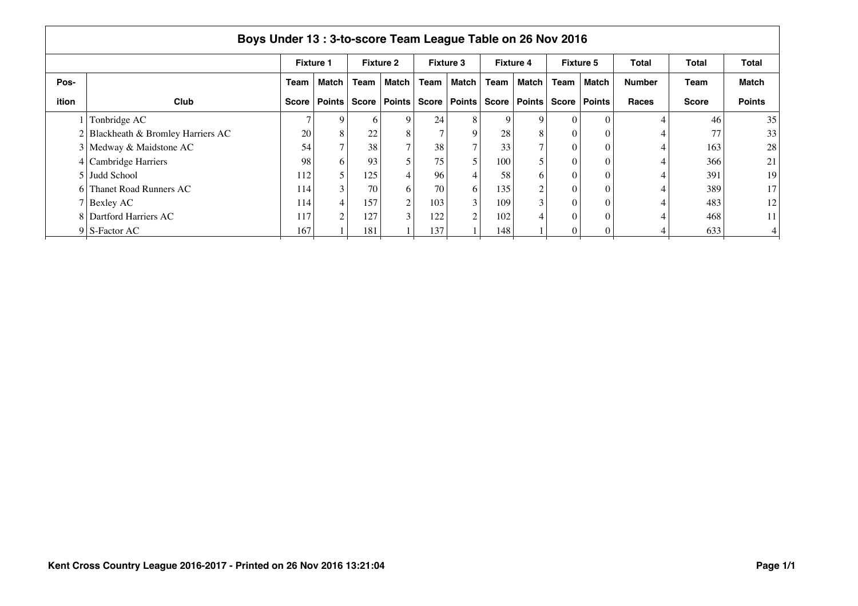|       | Boys Under 13: 3-to-score Team League Table on 26 Nov 2016 |                  |               |              |                  |              |                  |              |                  |              |                  |               |              |                 |  |
|-------|------------------------------------------------------------|------------------|---------------|--------------|------------------|--------------|------------------|--------------|------------------|--------------|------------------|---------------|--------------|-----------------|--|
|       |                                                            | <b>Fixture 1</b> |               |              | <b>Fixture 2</b> |              | <b>Fixture 3</b> |              | <b>Fixture 4</b> |              | <b>Fixture 5</b> | Total         | Total        | <b>Total</b>    |  |
| Pos-  |                                                            | Team             | <b>Match</b>  | Team         | Match            | Team         | Match            | Team         | Match            | Team         | Match            | <b>Number</b> | Team         | <b>Match</b>    |  |
| ition | Club                                                       | Score            | <b>Points</b> | <b>Score</b> | Points           | <b>Score</b> | <b>Points</b>    | <b>Score</b> | ∣ Points I       | <b>Score</b> | <b>Points</b>    | <b>Races</b>  | <b>Score</b> | <b>Points</b>   |  |
|       | Tonbridge AC                                               |                  | 9             | h            | 9                | 24           | 8                | Q            | 9                |              |                  |               | 46           | 35              |  |
|       | Blackheath & Bromley Harriers AC                           | 20               | 8             | 22           | 8                |              | 9                | 28           | 8                |              |                  |               | 77           | 33              |  |
|       | 3 Medway & Maidstone AC                                    | 54               | $\mathbf{r}$  | 38           | $\tau$           | 38           |                  | 33           |                  |              |                  |               | 163          | 28              |  |
|       | 4 Cambridge Harriers                                       | 98               | 6             | 93           | 5                | 75           |                  | 100          |                  |              |                  |               | 366          | 21              |  |
|       | 5 Judd School                                              | 112              | 5             | 125          | 4                | 96           |                  | 58           | 6                |              |                  |               | 391          | 19              |  |
| - 61  | Thanet Road Runners AC                                     | 114              | 3             | 70           | 6                | 70           | 6                | 135          | $\overline{c}$   |              |                  |               | 389          | 17              |  |
|       | 7 Bexley AC                                                | 114              | 4             | 157          | $\overline{c}$   | 103          | 3                | 109          | 3                |              |                  |               | 483          | 12              |  |
|       | 8 Dartford Harriers AC                                     | 117              | $\mathcal{L}$ | 127          | 3                | 122          | $\bigcap$        | 102          |                  |              |                  |               | 468          | 11 <sup>1</sup> |  |
|       | $9 \mid S$ -Factor AC                                      | 167              |               | 181          |                  | 137          |                  | 148          |                  |              |                  |               | 633          |                 |  |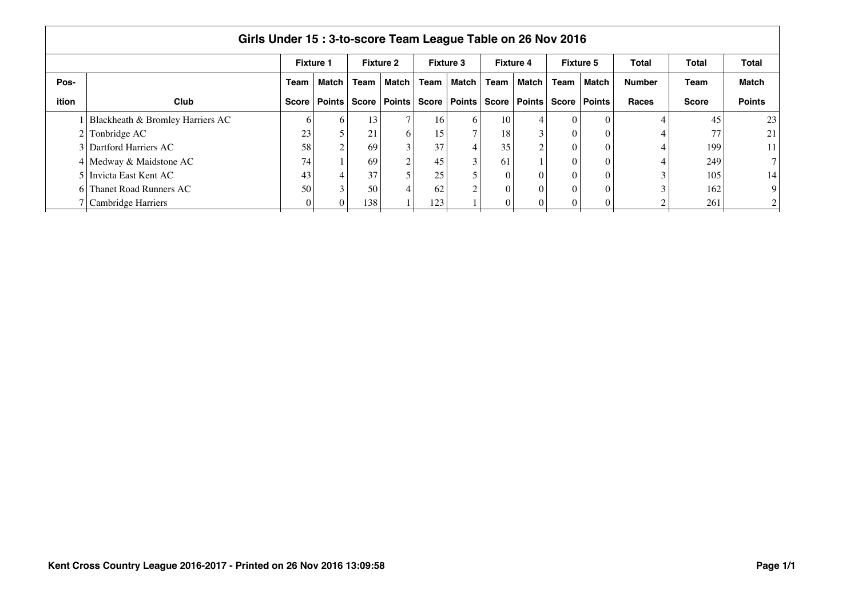|       |                                  | <b>Fixture 1</b> |                |      | <b>Fixture 2</b> |      | <b>Fixture 3</b> | <b>Fixture 4</b> |                                 |          | <b>Fixture 5</b> | Total         | Total        | <b>Total</b>  |
|-------|----------------------------------|------------------|----------------|------|------------------|------|------------------|------------------|---------------------------------|----------|------------------|---------------|--------------|---------------|
| Pos-  |                                  | Team             | Match          | Team | Match            | Team | Match            | Team             | Match                           | Team     | Match            | <b>Number</b> | Team         | Match         |
| ition | Club                             | <b>Score</b>     | <b>Points</b>  |      | Score   Points   |      | Score   Points   |                  | Score   Points   Score   Points |          |                  | Races         | <b>Score</b> | <b>Points</b> |
|       | Blackheath & Bromley Harriers AC | h                | 6              | 13   | −                | 16   | 6                | 10               |                                 | $\Omega$ | 0                |               | 45           | 23            |
|       | $2$ Tonbridge AC                 | 23               |                | 21   | 6                | 15   | ⇁                | 18               | $\sim$                          | $\Omega$ | 0                |               | 77           | 21            |
|       | 3 Dartford Harriers AC           | 58               | $\overline{2}$ | 69   |                  | 37   |                  | 35               | $\sim$                          | $\Omega$ | 0                |               | 199          | 11            |
|       | 4 Medway & Maidstone AC          | 74               |                | 69   |                  | 45   | $\bigcap$        | 61               |                                 | $\Omega$ | 0                |               | 249          |               |
|       | 5 Invicta East Kent AC           | 43               |                | 37   |                  | 25   |                  | $\Omega$         | 0                               | $\Omega$ | $\theta$         | $\sim$        | 105          | 14            |
|       | 6 Thanet Road Runners AC         | 50               | $\mathbf{R}$   | 50   |                  | 62   | $\sim$           | $\Omega$         | $\theta$                        | $\Omega$ | 0                |               | 162          |               |
|       | Cambridge Harriers               | $\Omega$         | 0              | 138  |                  | 123  |                  | $\Omega$         | $\theta$                        | $\theta$ | $\theta$         |               | 261          |               |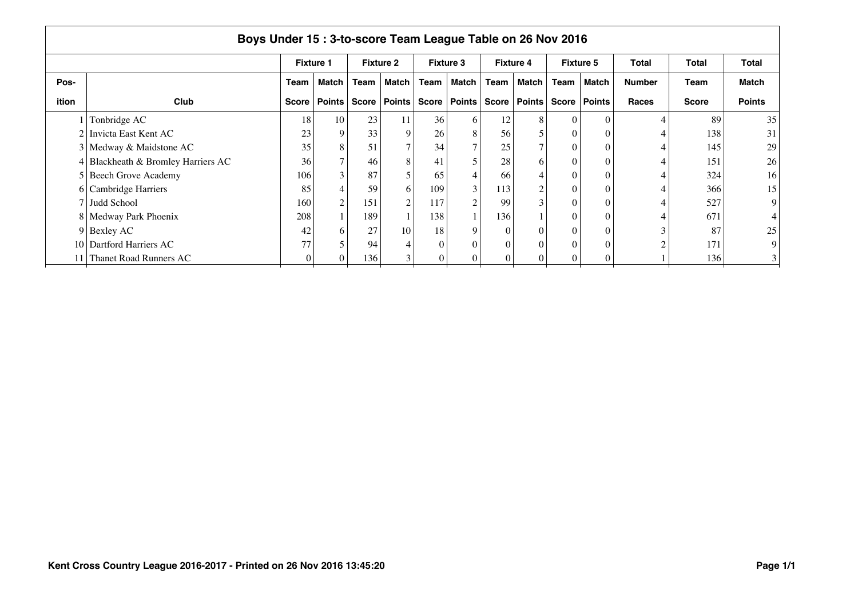|       | Boys Under 15:3-to-score Team League Table on 26 Nov 2016 |              |                  |              |                  |      |                  |       |                  |       |                  |        |              |                |  |
|-------|-----------------------------------------------------------|--------------|------------------|--------------|------------------|------|------------------|-------|------------------|-------|------------------|--------|--------------|----------------|--|
|       |                                                           |              | <b>Fixture 1</b> |              | <b>Fixture 2</b> |      | <b>Fixture 3</b> |       | <b>Fixture 4</b> |       | <b>Fixture 5</b> | Total  | Total        | <b>Total</b>   |  |
| Pos-  |                                                           | Team         | <b>Match</b>     | Team         | <b>Match</b>     | Team | <b>Match</b>     | Team  | Match            | Team  | Match            | Number | Team         | <b>Match</b>   |  |
| ition | Club                                                      | <b>Score</b> | Points           | <b>Score</b> | Points           |      | Score   Points   | Score | <b>Points</b>    | Score | Points           | Races  | <b>Score</b> | <b>Points</b>  |  |
|       | Tonbridge AC                                              | 18           | 10               | 23           | 11               | 36   | 6                | 12    | 8                |       | $\Omega$         |        | 89           | 35             |  |
|       | 2 Invicta East Kent AC                                    | 23           | 9                | 33           | 9                | 26   | 8                | 56    | 5                |       |                  |        | 138          | 31             |  |
|       | 3 Medway & Maidstone AC                                   | 35           | 8                | 51           | $\tau$           | 34   |                  | 25    |                  |       |                  |        | 145          | 29             |  |
|       | 4 Blackheath & Bromley Harriers AC                        | 36           | $\tau$           | 46           | 8                | 41   |                  | 28    | 6                |       | $\Omega$         |        | 151          | 26             |  |
|       | 5 Beech Grove Academy                                     | 106          | 3                | 87           | 5                | 65   |                  | 66    | 4                |       | $\Omega$         |        | 324          | 16             |  |
|       | 6 Cambridge Harriers                                      | 85           |                  | 59           | 6                | 109  | 3                | 113   | $\overline{c}$   |       | $\Omega$         |        | 366          | 15             |  |
|       | 7 Judd School                                             | 160          | $\overline{2}$   | 151          | $\overline{c}$   | 117  | $\mathcal{P}$    | 99    | 3                |       | $\Omega$         |        | 527          | 9              |  |
|       | 8   Medway Park Phoenix                                   | 208          |                  | 189          |                  | 138  |                  | 136   |                  |       | $\Omega$         |        | 671          |                |  |
|       | $9$ Bexley AC                                             | 42           | 6                | 27           | 10               | 18   | 9                |       | 0                |       |                  |        | 87           | 25             |  |
|       | 10   Dartford Harriers AC                                 | 77           |                  | 94           |                  |      |                  |       | 0                |       |                  |        | 171          | 9              |  |
|       | Thanet Road Runners AC                                    |              |                  | 136          |                  |      |                  | 0     | 0                |       | 0                |        | 136          | 3 <sup>1</sup> |  |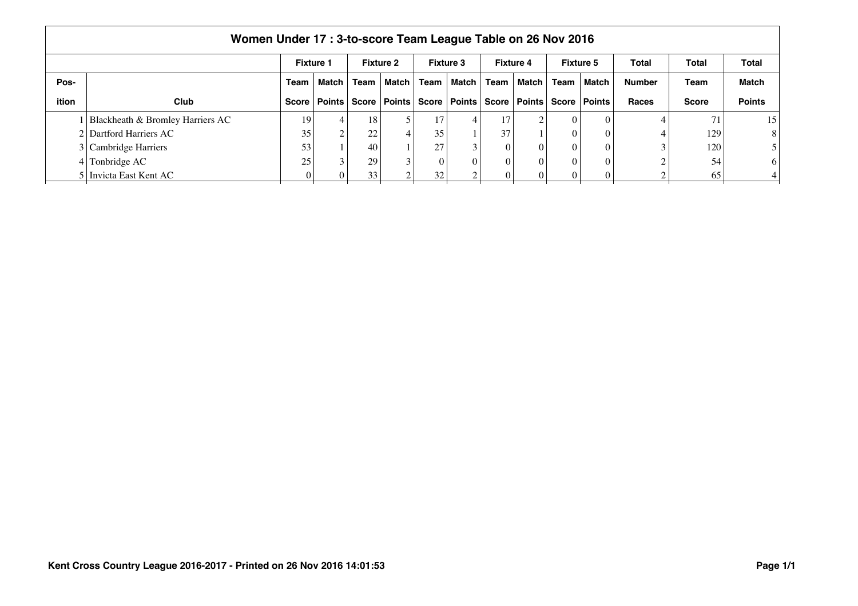|              | Women Under 17: 3-to-score Team League Table on 26 Nov 2016 |      |                  |      |                  |              |                                                                                    |          |                  |      |                  |               |              |               |  |
|--------------|-------------------------------------------------------------|------|------------------|------|------------------|--------------|------------------------------------------------------------------------------------|----------|------------------|------|------------------|---------------|--------------|---------------|--|
|              |                                                             |      | <b>Fixture 1</b> |      | <b>Fixture 2</b> |              | <b>Fixture 3</b>                                                                   |          | <b>Fixture 4</b> |      | <b>Fixture 5</b> | Total         | Total        | Total         |  |
| Pos-         |                                                             | Team | <b>Match</b>     | Team | Match            | Team         | Match                                                                              | Team     | ∣ Match I        | Team | ∣ Match          | <b>Number</b> | Team         | <b>Match</b>  |  |
| <b>ition</b> | Club                                                        |      |                  |      |                  |              | Score   Points   Score   Points   Score   Points   Score   Points   Score   Points |          |                  |      |                  | Races         | <b>Score</b> | <b>Points</b> |  |
|              | Blackheath & Bromley Harriers AC                            | 19   | $\overline{4}$   | 18   |                  | 17           |                                                                                    | 17       | $\sim$           |      |                  |               | 71           | 15            |  |
|              | 2 Dartford Harriers AC                                      | 35   | $\sim$           | 22   |                  | 35           |                                                                                    | 37       |                  |      |                  |               | 129          | 8             |  |
|              | 3 Cambridge Harriers                                        | 53   |                  | 40   |                  | 27           |                                                                                    | $\Omega$ |                  |      |                  |               | 120          |               |  |
|              | $4$ Tonbridge AC                                            | 25   |                  | 29   |                  | $\mathbf{0}$ |                                                                                    |          | $\theta$         |      |                  |               | 54           | <sup>6</sup>  |  |
|              | 5 Invicta East Kent AC                                      |      | $\overline{0}$   | 33   |                  | 32           |                                                                                    |          |                  |      |                  |               | 65           |               |  |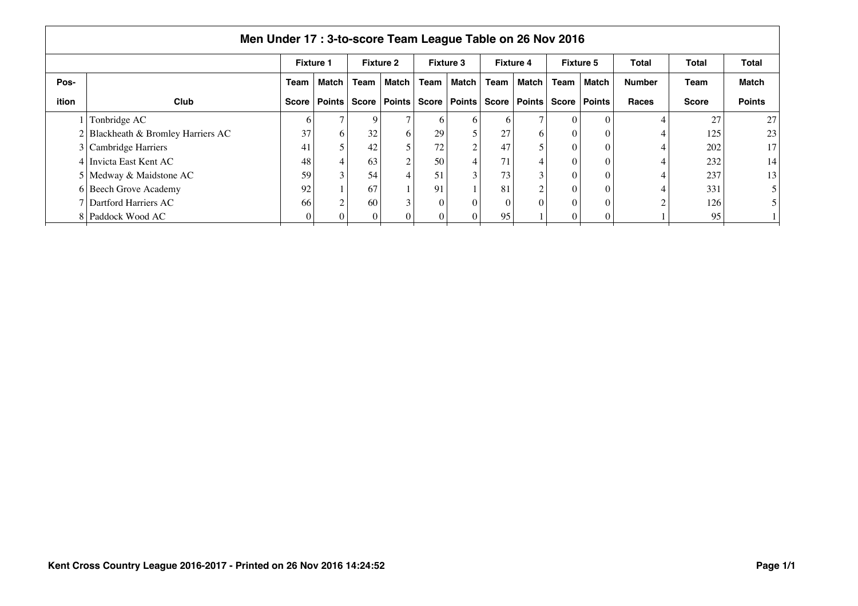|       | Men Under 17 : 3-to-score Team League Table on 26 Nov 2016 |                  |              |              |                  |       |                  |              |                  |              |                  |               |              |               |  |
|-------|------------------------------------------------------------|------------------|--------------|--------------|------------------|-------|------------------|--------------|------------------|--------------|------------------|---------------|--------------|---------------|--|
|       |                                                            | <b>Fixture 1</b> |              |              | <b>Fixture 2</b> |       | <b>Fixture 3</b> |              | <b>Fixture 4</b> |              | <b>Fixture 5</b> | <b>Total</b>  | Total        | Total         |  |
| Pos-  |                                                            | <b>Team</b>      | <b>Match</b> | Team         | Match            | Team  | Match            | Team         | Match            | Team         | Match            | <b>Number</b> | Team         | <b>Match</b>  |  |
| ition | <b>Club</b>                                                | Score            | Points       | <b>Score</b> | <b>Points</b>    | Score | <b>Points</b>    | <b>Score</b> | Points           | <b>Score</b> | <b>Points</b>    | <b>Races</b>  | <b>Score</b> | <b>Points</b> |  |
|       | Tonbridge AC                                               | O                |              |              | $\mathbf{r}$     | 6     | <sub>b</sub>     | h            |                  |              |                  |               | 27           | 27            |  |
|       | Blackheath & Bromley Harriers AC                           | 37               | 6            | 32           | 6                | 29    |                  | 27           | 6                |              |                  |               | 125          | 23            |  |
|       | 3 Cambridge Harriers                                       | 41               |              | 42           | 5                | 72    |                  | 47           |                  |              |                  |               | 202          | 17            |  |
|       | 4 Invicta East Kent AC                                     | 48               |              | 63           | $\overline{c}$   | 50    |                  | 71           | 4                |              |                  |               | 232          | 14            |  |
|       | 5 Medway & Maidstone AC                                    | 59               | 3            | 54           | 4                | 51    | ◠                | 73           |                  |              |                  |               | 237          | 13            |  |
|       | 6 Beech Grove Academy                                      | 92               |              | 67           |                  | 91    |                  | 81           | $\overline{2}$   |              |                  |               | 331          |               |  |
|       | 7 Dartford Harriers AC                                     | 66               | $\sim$       | 60           | $\mathbf{R}$     |       | $\Omega$         |              | $\Omega$         |              |                  |               | 126          |               |  |
|       | Paddock Wood AC                                            |                  |              |              |                  |       |                  | 95           |                  |              |                  |               | 95           |               |  |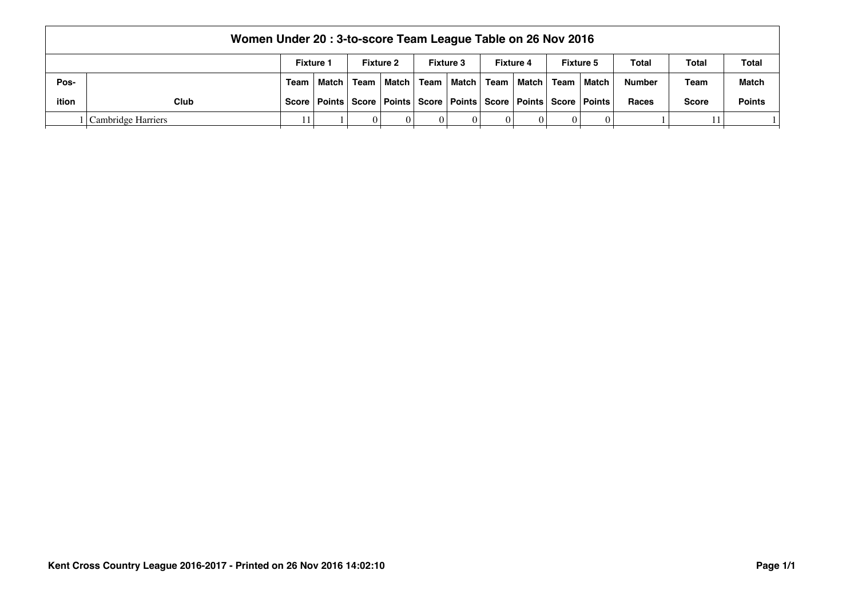|       | Women Under 20: 3-to-score Team League Table on 26 Nov 2016 |                  |                                                                                    |   |                  |  |                                             |  |                  |  |                  |               |              |               |
|-------|-------------------------------------------------------------|------------------|------------------------------------------------------------------------------------|---|------------------|--|---------------------------------------------|--|------------------|--|------------------|---------------|--------------|---------------|
|       |                                                             | <b>Fixture 1</b> |                                                                                    |   | <b>Fixture 2</b> |  | <b>Fixture 3</b>                            |  | <b>Fixture 4</b> |  | <b>Fixture 5</b> | Total         | Total        | <b>Total</b>  |
| Pos-  |                                                             |                  | Team   Match   Team                                                                |   |                  |  | │Match │ Team │Match │ Team │Match │ Team │ |  |                  |  | l Match          | <b>Number</b> | Team         | <b>Match</b>  |
| ition | Club                                                        |                  | Score   Points   Score   Points   Score   Points   Score   Points   Score   Points |   |                  |  |                                             |  |                  |  |                  | <b>Races</b>  | <b>Score</b> | <b>Points</b> |
|       | Cambridge Harriers                                          |                  |                                                                                    | 0 |                  |  |                                             |  |                  |  |                  |               | 11           |               |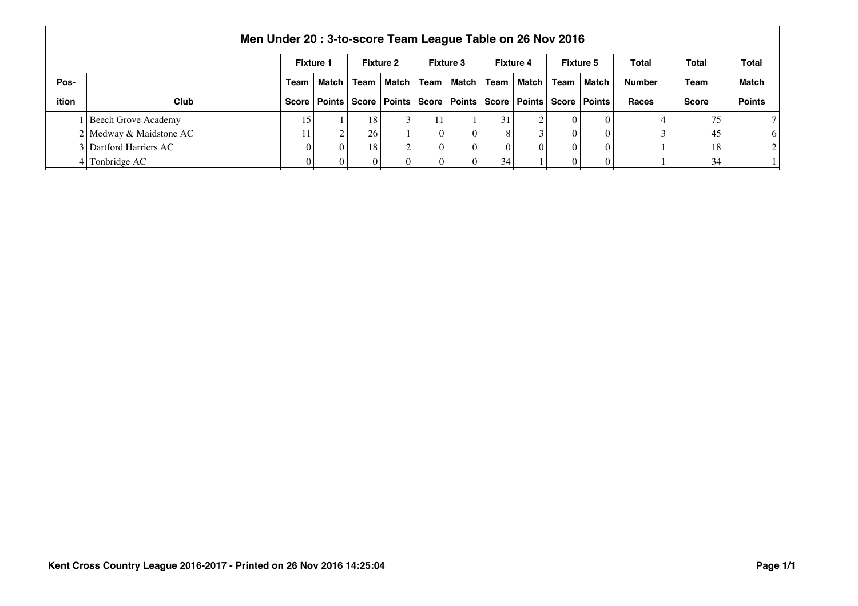|       | Men Under 20: 3-to-score Team League Table on 26 Nov 2016                                        |       |                |                 |         |      |                         |      |                |              |               |               |              |                |  |
|-------|--------------------------------------------------------------------------------------------------|-------|----------------|-----------------|---------|------|-------------------------|------|----------------|--------------|---------------|---------------|--------------|----------------|--|
|       | <b>Fixture 3</b><br><b>Fixture 5</b><br><b>Fixture 1</b><br><b>Fixture 2</b><br><b>Fixture 4</b> |       |                |                 |         |      |                         |      |                |              |               |               |              | Total          |  |
| Pos-  |                                                                                                  | Team  | Match I        | Team            | Match I | Team | Match                   | Team | l Match I      | Team         | Match         | <b>Number</b> | Team         | <b>Match</b>   |  |
| ition | <b>Club</b>                                                                                      | Score | Points   Score |                 |         |      | Points   Score   Points |      | Score   Points | <b>Score</b> | <b>Points</b> | Races         | <b>Score</b> | <b>Points</b>  |  |
|       | Beech Grove Academy                                                                              | 15    |                | 18 <sub>1</sub> |         | 11'  |                         | 31   | $\overline{c}$ |              | $\theta$      |               | 75           |                |  |
|       | 2 Medway & Maidstone AC                                                                          |       | $\overline{ }$ | 26              |         |      | $\Omega$                |      |                |              |               |               | 45           | 6              |  |
|       | 3 Dartford Harriers AC                                                                           |       | $\Omega$       | 18              |         |      | $\Omega$                |      | 0              |              |               |               | 18           | 2 <sub>1</sub> |  |
|       | Tonbridge AC                                                                                     |       |                |                 |         |      | $\Omega$                | 34   |                |              |               |               | 34           |                |  |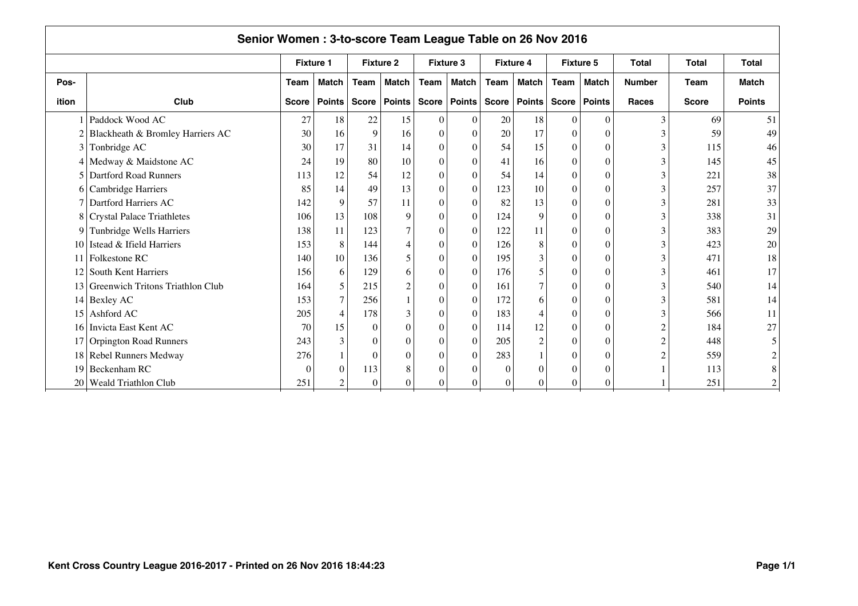|                 | Senior Women: 3-to-score Team League Table on 26 Nov 2016 |                  |                |              |                  |                  |                  |          |                  |                  |               |               |              |                |  |
|-----------------|-----------------------------------------------------------|------------------|----------------|--------------|------------------|------------------|------------------|----------|------------------|------------------|---------------|---------------|--------------|----------------|--|
|                 |                                                           | <b>Fixture 1</b> |                |              | <b>Fixture 2</b> |                  | <b>Fixture 3</b> |          | <b>Fixture 4</b> | <b>Fixture 5</b> |               | <b>Total</b>  | <b>Total</b> | <b>Total</b>   |  |
| Pos-            |                                                           | Team             | <b>Match</b>   | Team         | <b>Match</b>     | Team             | <b>Match</b>     | Team     | Match            | Team             | <b>Match</b>  | <b>Number</b> | <b>Team</b>  | <b>Match</b>   |  |
| ition           | Club                                                      | <b>Score</b>     | <b>Points</b>  | <b>Score</b> | Points           |                  | Score   Points   |          | Score   Points   | Score            | <b>Points</b> | <b>Races</b>  | <b>Score</b> | <b>Points</b>  |  |
|                 | Paddock Wood AC                                           | 27               | 18             | 22           | 15               | $\theta$         | $\theta$         | 20       | 18               | $\Omega$         | $\Omega$      |               | 69           | 51             |  |
| 2               | Blackheath & Bromley Harriers AC                          | 30               | 16             | 9            | 16               | $\theta$         | $\theta$         | 20       | 17               | $\Omega$         | $\Omega$      |               | 59           | 49             |  |
| 3               | Tonbridge AC                                              | 30               | 17             | 31           | 14               | $\boldsymbol{0}$ | $\boldsymbol{0}$ | 54       | 15               | $\theta$         | $\Omega$      |               | 115          | 46             |  |
|                 | 4 Medway & Maidstone AC                                   | 24               | 19             | 80           | 10               | $\mathbf{0}$     | $\theta$         | 41       | 16               | $\theta$         | $\theta$      |               | 145          | 45             |  |
| 5               | <b>Dartford Road Runners</b>                              | 113              | 12             | 54           | 12               | $\theta$         | $\Omega$         | 54       | 14               | $\Omega$         | $\Omega$      |               | 221          | 38             |  |
|                 | 6 Cambridge Harriers                                      | 85               | 14             | 49           | 13               | $\theta$         | $\Omega$         | 123      | 10               | $\Omega$         | $\Omega$      |               | 257          | 37             |  |
| 7               | Dartford Harriers AC                                      | 142              | 9              | 57           | 11               | $\theta$         | $\Omega$         | 82       | 13               | $\Omega$         | $\Omega$      |               | 281          | 33             |  |
|                 | 8 Crystal Palace Triathletes                              | 106              | 13             | 108          | 9                | $\theta$         | $\Omega$         | 124      | 9                | $\Omega$         | $\Omega$      |               | 338          | 31             |  |
|                 | 9 Tunbridge Wells Harriers                                | 138              | 11             | 123          | 7                | $\boldsymbol{0}$ | $\theta$         | 122      | 11               | $\theta$         | $\Omega$      |               | 383          | 29             |  |
| 10              | Istead & Ifield Harriers                                  | 153              | $8\,$          | 144          |                  | $\mathbf{0}$     | $\theta$         | 126      | 8                | $\Omega$         | $\theta$      |               | 423          | 20             |  |
| 11              | Folkestone RC                                             | 140              | 10             | 136          | 5                | $\theta$         | $\theta$         | 195      | 3                | $\Omega$         | $\theta$      |               | 471          | 18             |  |
|                 | 12 South Kent Harriers                                    | 156              | 6              | 129          | 6                | $\theta$         | $\theta$         | 176      | 5                | $\Omega$         | $\Omega$      |               | 461          | 17             |  |
|                 | 13 Greenwich Tritons Triathlon Club                       | 164              | 5              | 215          | 2                | $\theta$         | $\theta$         | 161      | $\tau$           | $\Omega$         | $\Omega$      |               | 540          | 14             |  |
|                 | $14$ Bexley AC                                            | 153              | $\tau$         | 256          |                  | $\theta$         | $\theta$         | 172      | 6                | $\Omega$         | $\Omega$      |               | 581          | 14             |  |
| 15 <sup>1</sup> | Ashford AC                                                | 205              | $\overline{4}$ | 178          | 3                | $\theta$         | $\theta$         | 183      | $\overline{4}$   | $\Omega$         | $\Omega$      |               | 566          | 11             |  |
| <u>16</u>       | Invicta East Kent AC                                      | 70               | 15             | $\Omega$     | $\theta$         | $\boldsymbol{0}$ | $\mathbf{0}$     | 114      | 12               | $\Omega$         | $\theta$      | ◠             | 184          | 27             |  |
|                 | 17 Orpington Road Runners                                 | 243              | 3              | 0            | $\Omega$         | $\theta$         | $\theta$         | 205      | $\overline{c}$   | $\Omega$         | $\theta$      |               | 448          | 5              |  |
|                 | 18 Rebel Runners Medway                                   | 276              |                | $\Omega$     | $\Omega$         | $\theta$         | $\Omega$         | 283      |                  | $\Omega$         | $\Omega$      |               | 559          | $\overline{c}$ |  |
| 19              | Beckenham RC                                              | $\Omega$         | $\mathbf{0}$   | 113          | 8                | $\Omega$         | $\Omega$         | $\Omega$ | $\theta$         | $\Omega$         |               |               | 113          | 8              |  |
| 20              | <b>Weald Triathlon Club</b>                               | 251              | $\mathfrak{2}$ | 0            |                  | 0                | $\Omega$         | $\Omega$ | $\Omega$         | $\Omega$         | $\Omega$      |               | 251          | $\overline{c}$ |  |